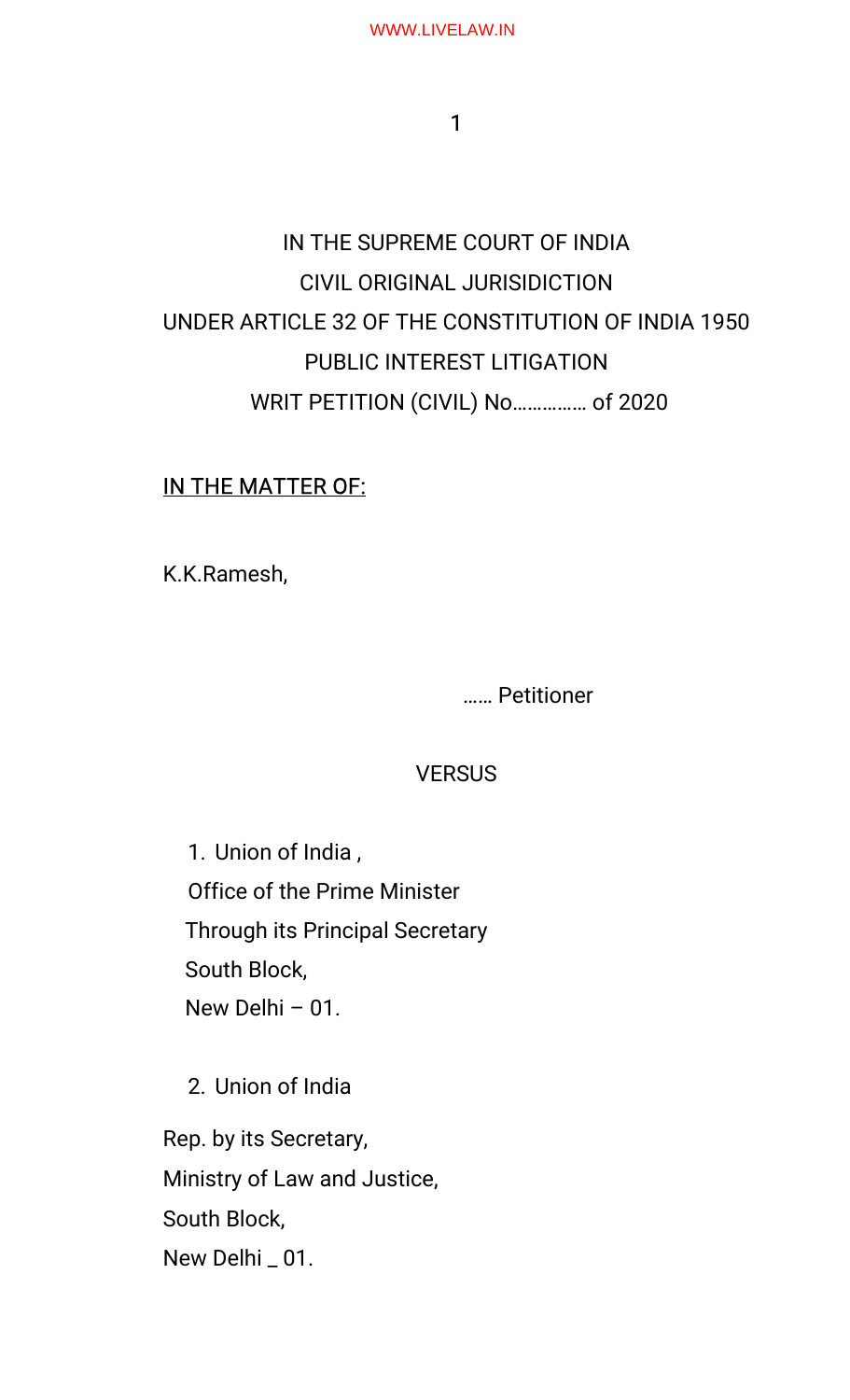# IN THE SUPREME COURT OF INDIA CIVIL ORIGINAL JURISIDICTION UNDER ARTICLE 32 OF THE CONSTITUTION OF INDIA 1950 PUBLIC INTEREST LITIGATION WRIT PETITION (CIVIL) No ... ... ... ..... of 2020

## IN THE MATTER OF:

K.K.Ramesh,

...... Petitioner

## **VERSUS**

1. Union of India, **Office of the Prime Minister Through its Principal Secretary** South Block, New Delhi - 01.

2. Union of India

Rep. by its Secretary, Ministry of Law and Justice, South Block, New Delhi \_ 01.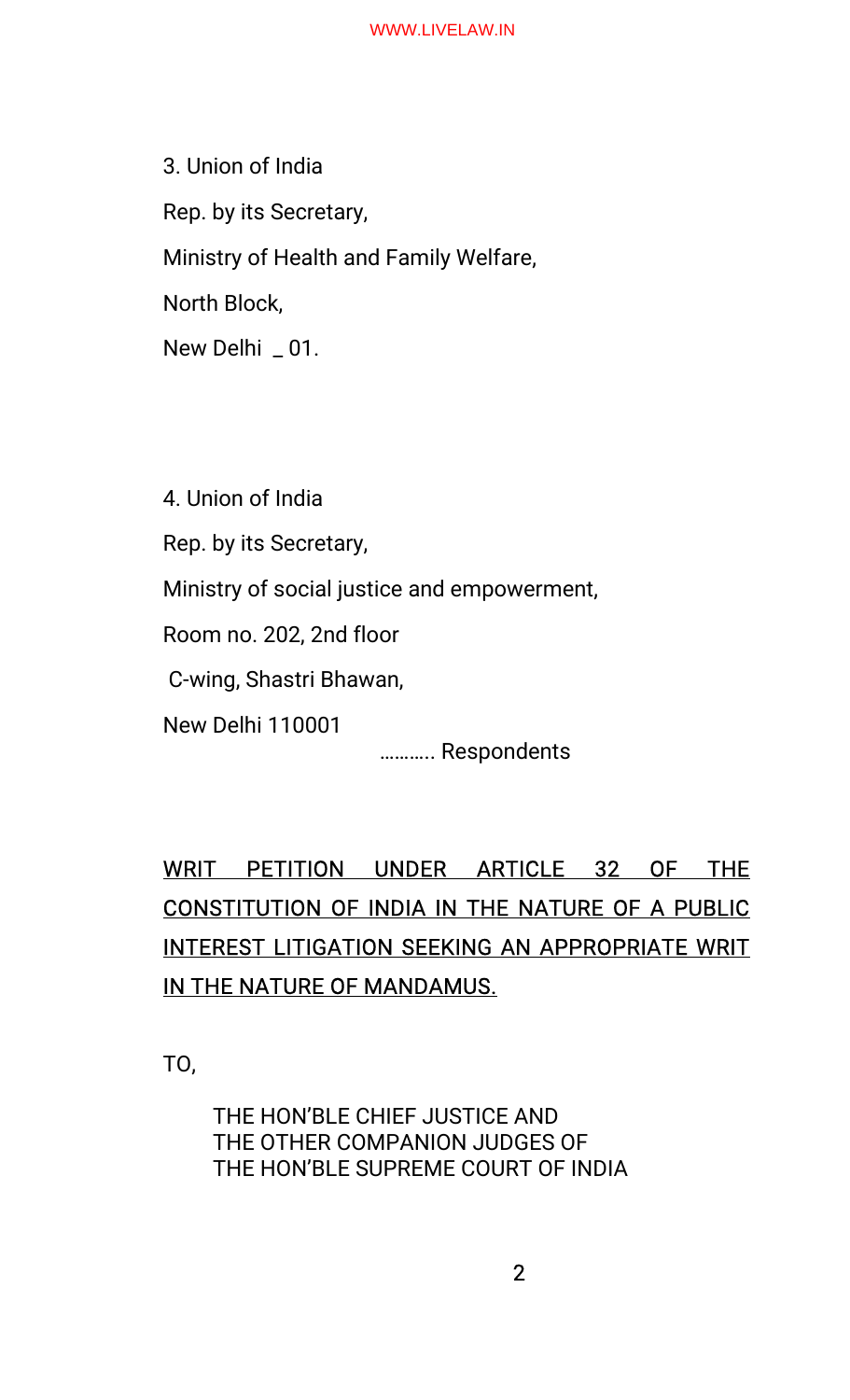#### WWW.LIVELAW.IN

3. Union of India Rep. by its Secretary, Ministry of Health and Family Welfare, North Block, New Delhi \_ 01.

4. Union of India Rep. by its Secretary, Ministry of social justice and empowerment, Room no. 202, 2nd floor C-wing, Shastri Bhawan, New Delhi 110001 ………..Respondents

## WRIT PETITION UNDER ARTICLE 32 OF THE CONSTITUTION OF INDIA IN THE NATURE OF A PUBLIC INTEREST LITIGATION SEEKING AN APPROPRIATE WRIT IN THE NATURE OF MANDAMUS.

TO,

THE HON'BLE CHIEF JUSTICE AND THE OTHER COMPANION JUDGES OF THE HON'BLE SUPREME COURT OF INDIA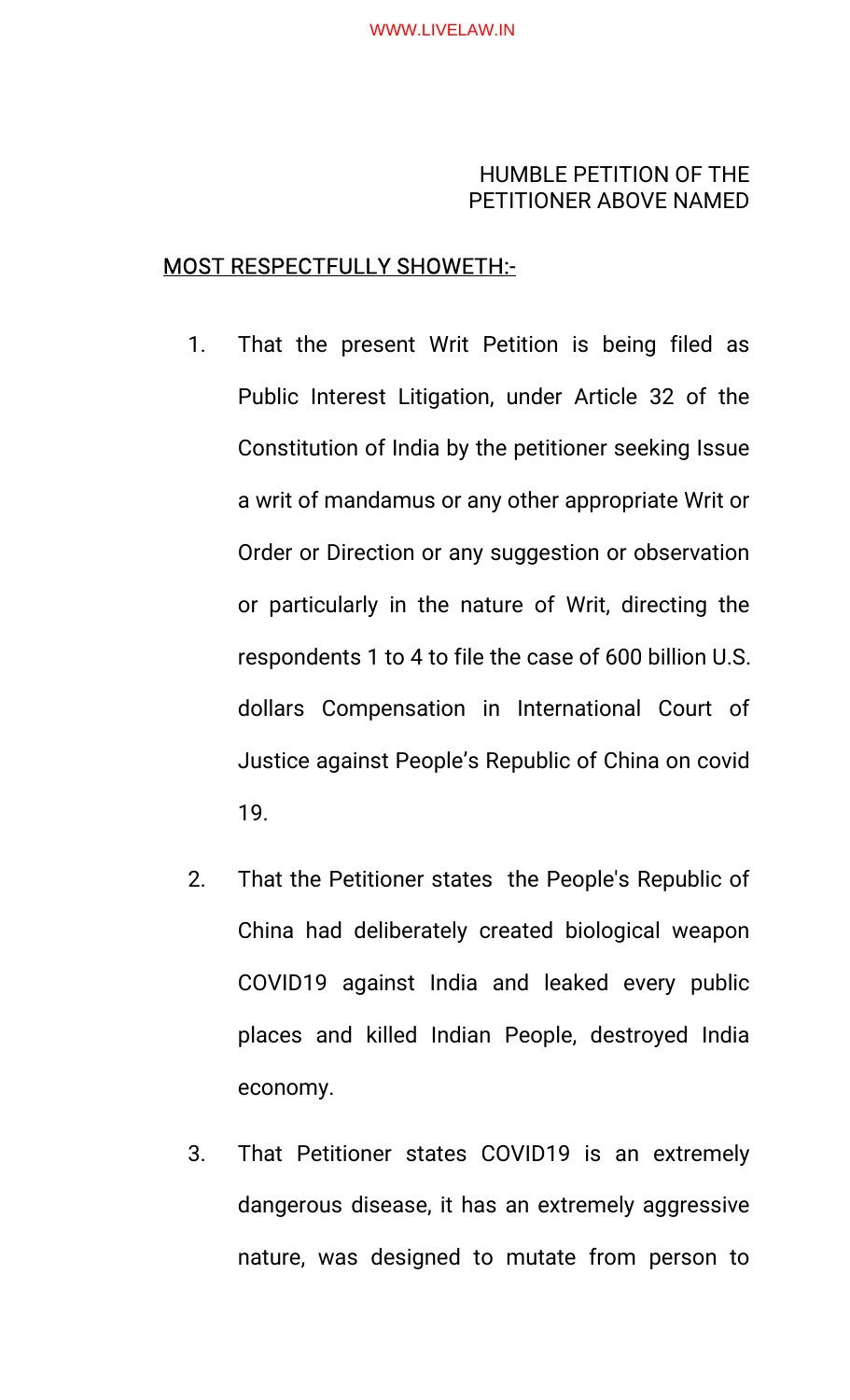#### **HUMBLE PETITION OF THE** PETITIONER ABOVE NAMED

### **MOST RESPECTFULLY SHOWETH:-**

- $1<sub>1</sub>$ That the present Writ Petition is being filed as Public Interest Litigation, under Article 32 of the Constitution of India by the petitioner seeking Issue a writ of mandamus or any other appropriate Writ or Order or Direction or any suggestion or observation or particularly in the nature of Writ, directing the respondents 1 to 4 to file the case of 600 billion U.S. dollars Compensation in International Court of Justice against People's Republic of China on covid 19.
- That the Petitioner states the People's Republic of  $2.$ China had deliberately created biological weapon COVID19 against India and leaked every public places and killed Indian People, destroyed India economy.
- 3. That Petitioner states COVID19 is an extremely dangerous disease, it has an extremely aggressive nature, was designed to mutate from person to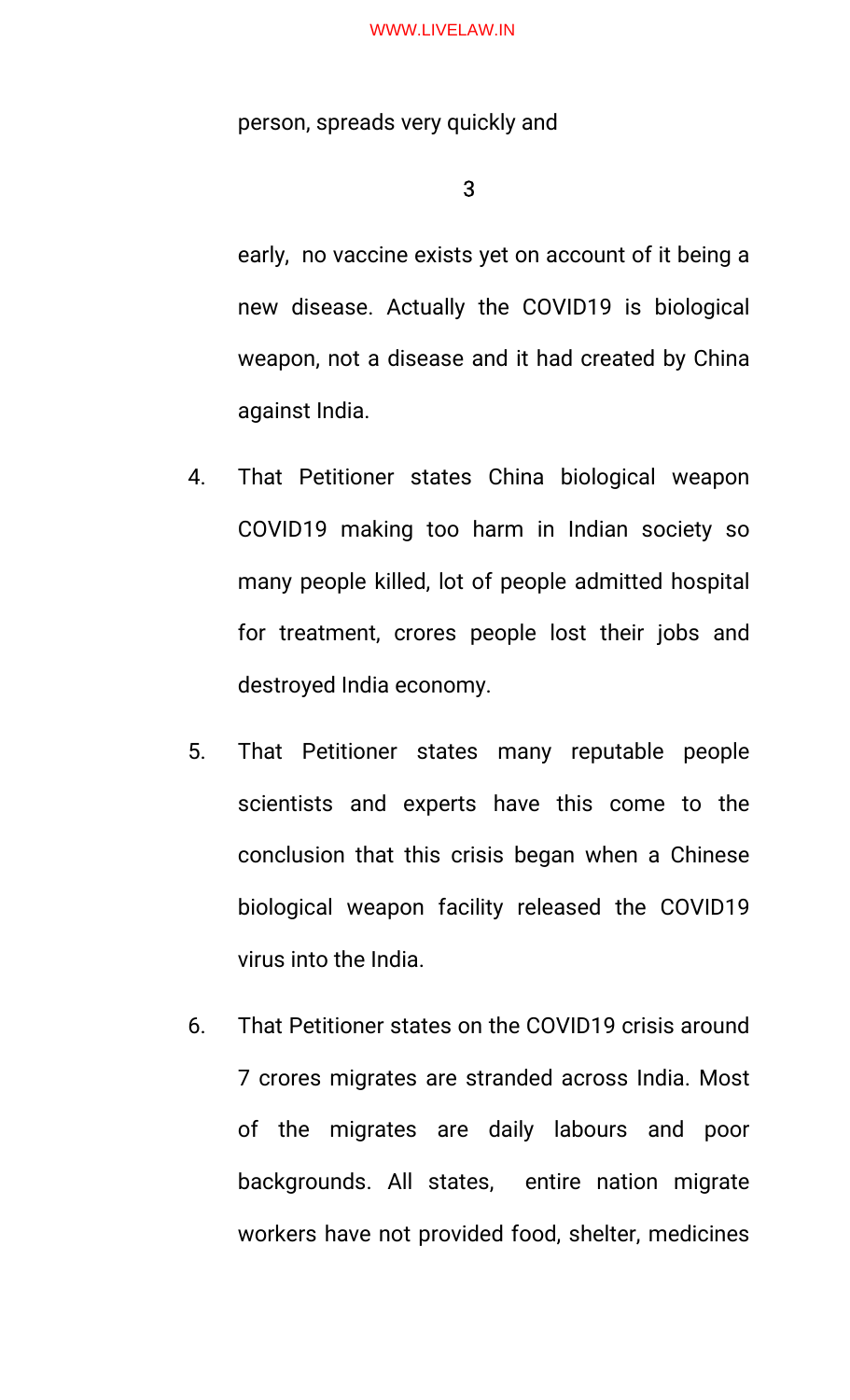person, spreads very quickly and

#### 3

early, no vaccine exists yet on account of it being a new disease. Actually the COVID19 is biological weapon, not a disease and it had created by China against India.

- That Petitioner states China biological weapon  $\overline{4}$ . COVID19 making too harm in Indian society so many people killed, lot of people admitted hospital for treatment, crores people lost their jobs and destroyed India economy.
- 5. That Petitioner states many reputable people scientists and experts have this come to the conclusion that this crisis began when a Chinese biological weapon facility released the COVID19 virus into the India.
- 6. That Petitioner states on the COVID19 crisis around 7 crores migrates are stranded across India. Most of the migrates are daily labours and poor backgrounds. All states, entire nation migrate workers have not provided food, shelter, medicines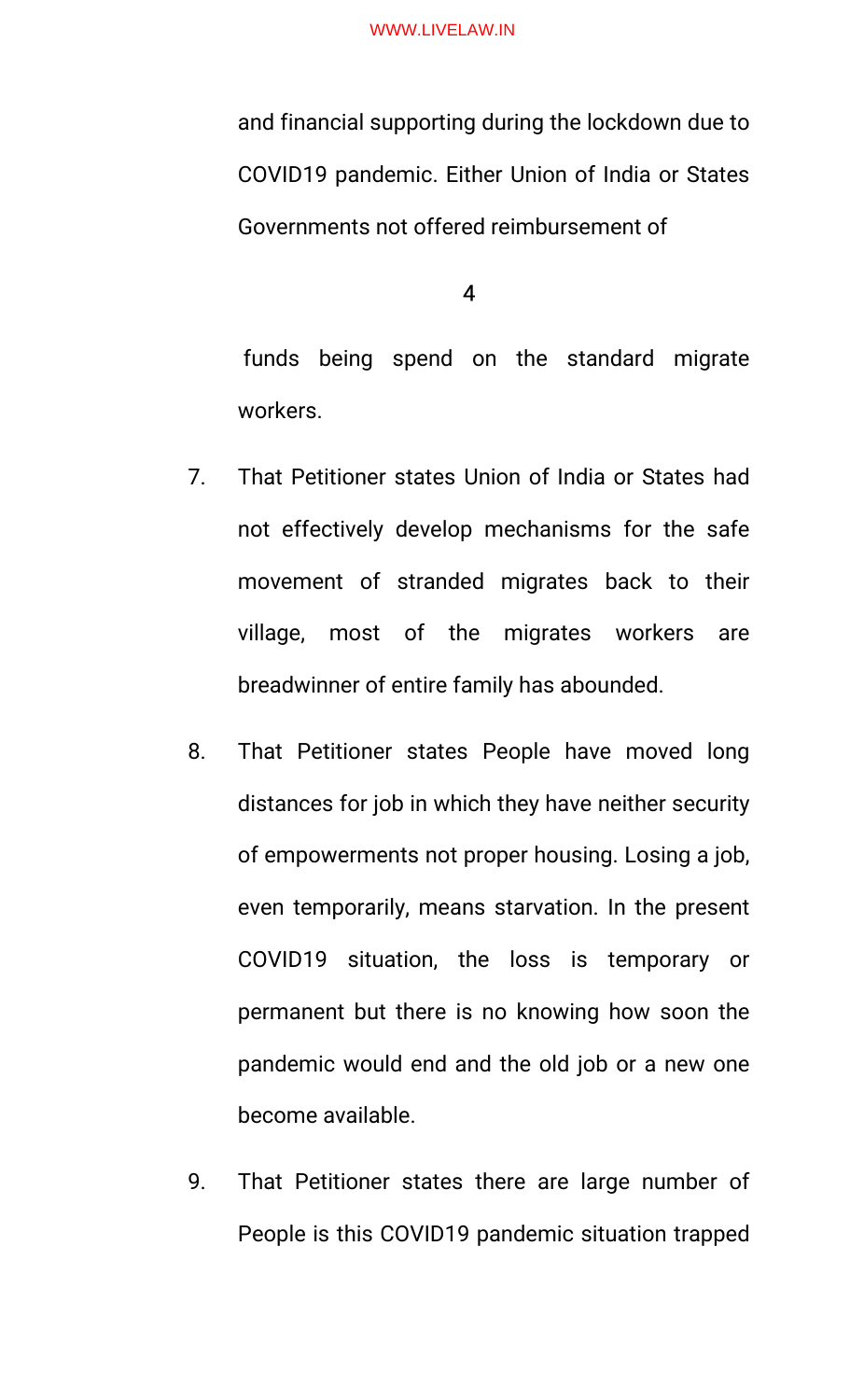#### WWW.LIVELAW.IN

and financial supporting during the lockdown due to COVID19 pandemic. Either Union of India or States Governments not offered reimbursement of

4

funds being spend on the standard migrate workers.

- 7. That Petitioner states Union of India or States had not effectively develop mechanisms for the safe movement of stranded migrates back to their village, most of the migrates workers are breadwinner of entire family has abounded.
- 8. That Petitioner states People have moved long distances for job in which they have neither security of empowerments not proper housing. Losing a job, even temporarily, means starvation. In the present COVID19 situation, the loss is temporary or permanent but there is no knowing how soon the pandemic would end and the old job or a new one become available.
- 9. That Petitioner states there are large number of People is this COVID19 pandemic situation trapped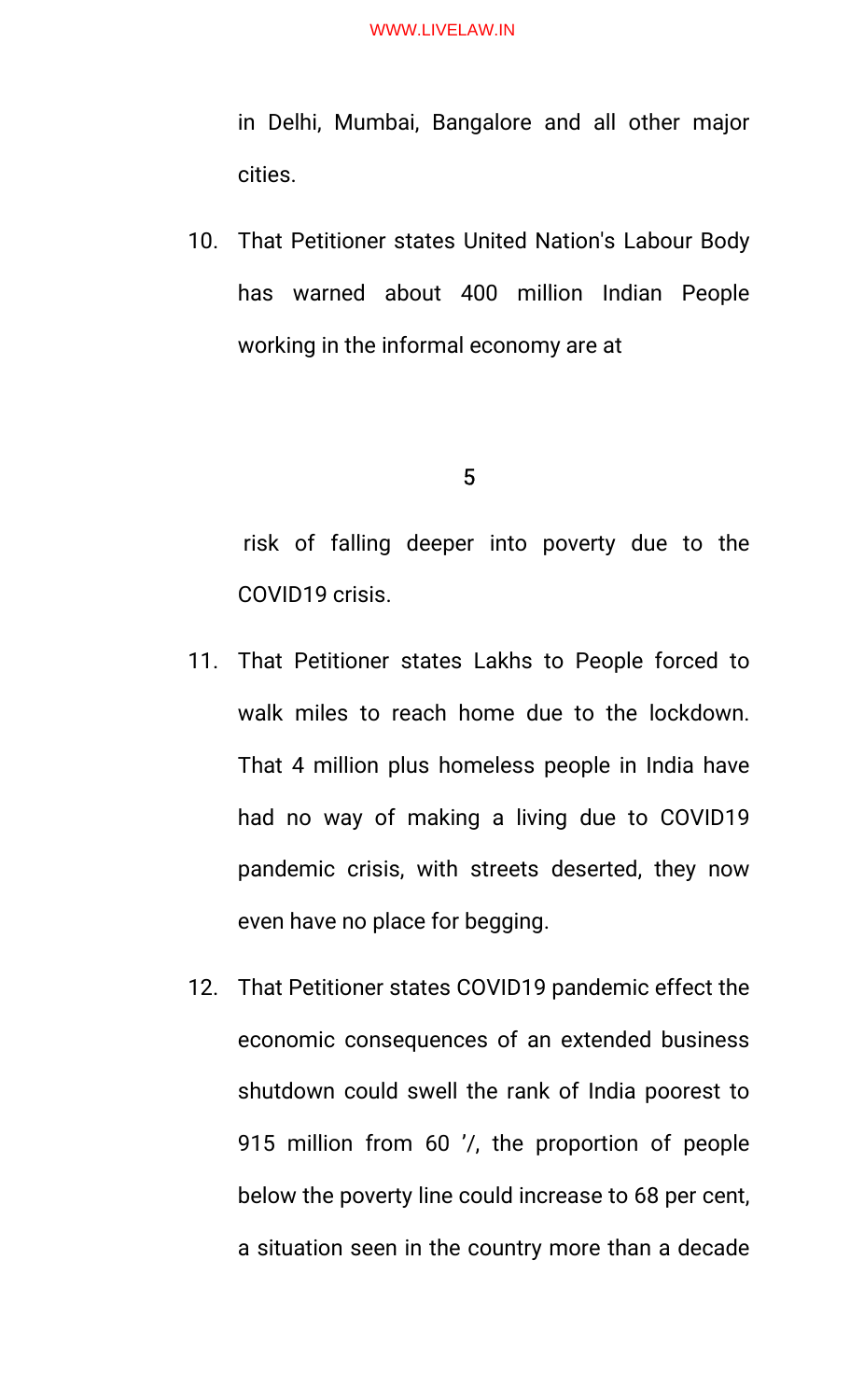in Delhi, Mumbai, Bangalore and all other major cities.

10. That Petitioner states United Nation's Labour Body has warned about 400 million Indian People working in the informal economy are at

#### $5<sub>5</sub>$

risk of falling deeper into poverty due to the COVID19 crisis.

- 11. That Petitioner states Lakhs to People forced to walk miles to reach home due to the lockdown. That 4 million plus homeless people in India have had no way of making a living due to COVID19 pandemic crisis, with streets deserted, they now even have no place for begging.
- 12. That Petitioner states COVID19 pandemic effect the economic consequences of an extended business shutdown could swell the rank of India poorest to 915 million from 60 '/, the proportion of people below the poverty line could increase to 68 per cent, a situation seen in the country more than a decade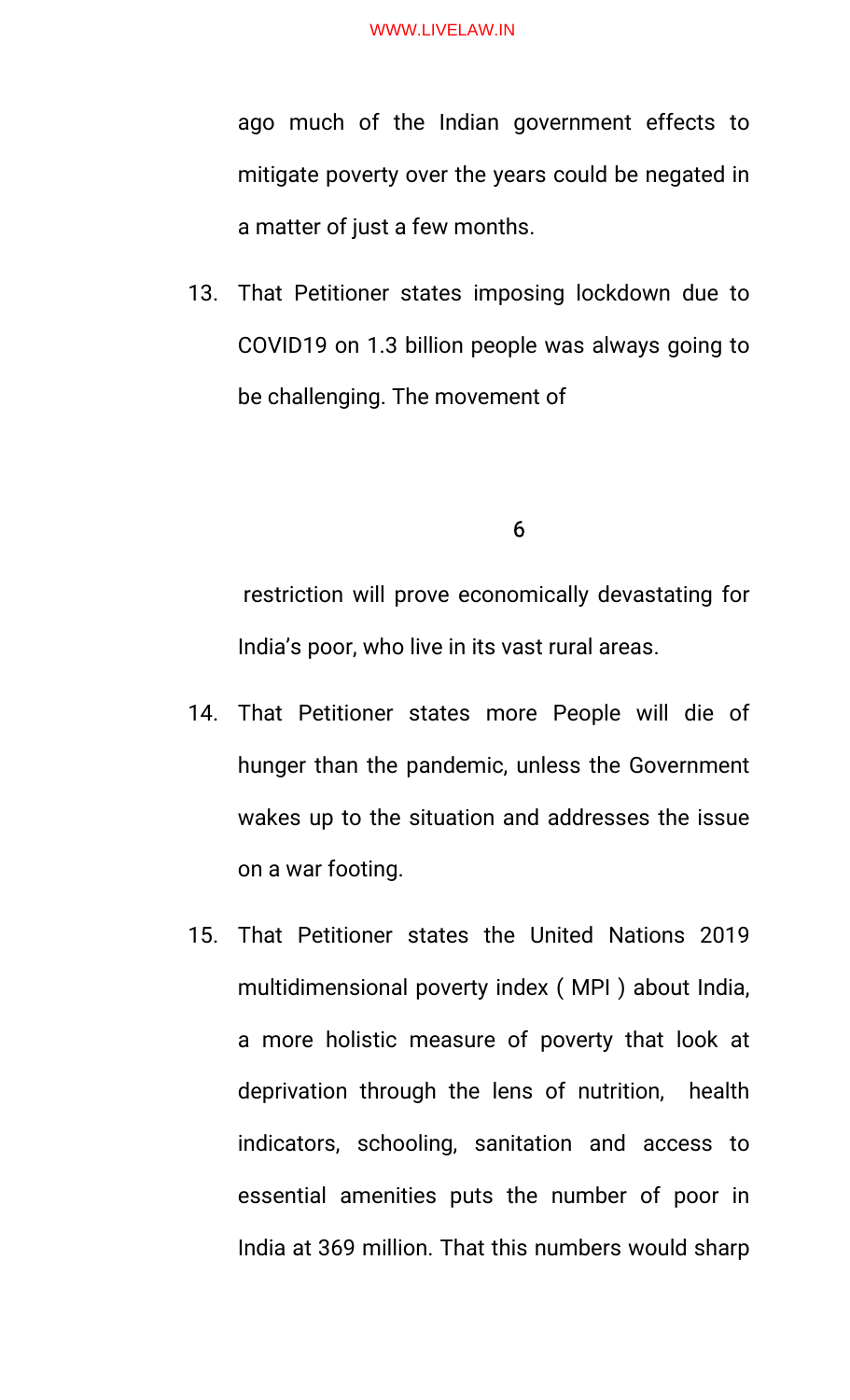ago much of the Indian government effects to mitigate poverty over the years could be negated in a matter of just a few months.

That Petitioner states imposing lockdown due to  $13.$ COVID19 on 1.3 billion people was always going to be challenging. The movement of

6

restriction will prove economically devastating for India's poor, who live in its vast rural areas.

- That Petitioner states more People will die of 14. hunger than the pandemic, unless the Government wakes up to the situation and addresses the issue on a war footing.
- $15.$ That Petitioner states the United Nations 2019 multidimensional poverty index (MPI) about India, a more holistic measure of poverty that look at deprivation through the lens of nutrition, health indicators, schooling, sanitation and access to essential amenities puts the number of poor in India at 369 million. That this numbers would sharp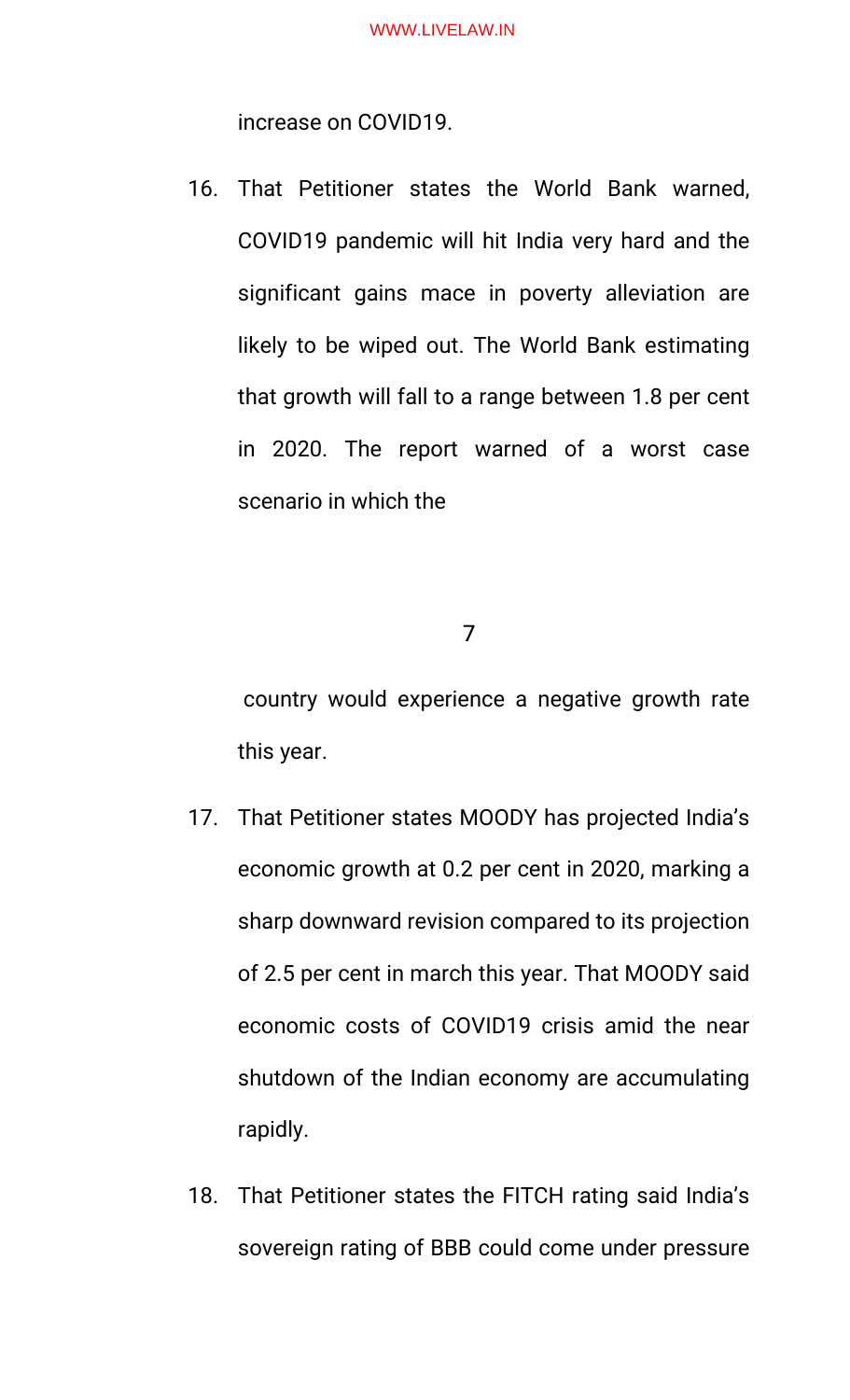increase on COVID19.

16. That Petitioner states the World Bank warned, COVID19 pandemic will hit India very hard and the significant gains mace in poverty alleviation are likely to be wiped out. The World Bank estimating that growth will fall to a range between 1.8 per cent in 2020. The report warned of a worst case scenario in which the

 $7\overline{ }$ 

country would experience a negative growth rate this year.

- 17. That Petitioner states MOODY has projected India's economic growth at 0.2 per cent in 2020, marking a sharp downward revision compared to its projection of 2.5 per cent in march this year. That MOODY said economic costs of COVID19 crisis amid the near shutdown of the Indian economy are accumulating rapidly.
- 18. That Petitioner states the FITCH rating said India's sovereign rating of BBB could come under pressure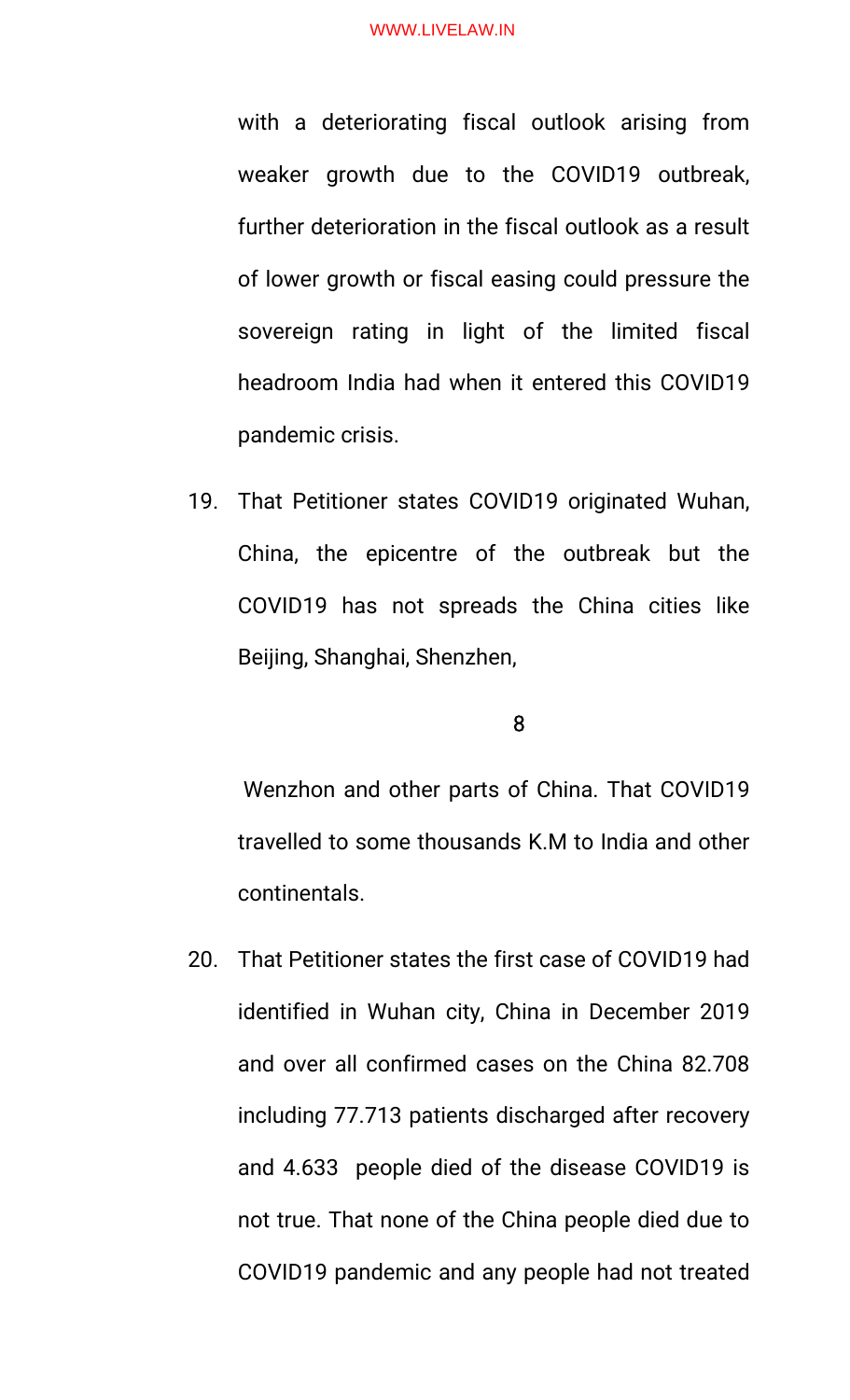with a deteriorating fiscal outlook arising from weaker growth due to the COVID19 outbreak. further deterioration in the fiscal outlook as a result of lower growth or fiscal easing could pressure the sovereign rating in light of the limited fiscal headroom India had when it entered this COVID19 pandemic crisis.

That Petitioner states COVID19 originated Wuhan, 19. China, the epicentre of the outbreak but the COVID19 has not spreads the China cities like Beijing, Shanghai, Shenzhen,

8

Wenzhon and other parts of China. That COVID19 travelled to some thousands K.M to India and other continentals.

That Petitioner states the first case of COVID19 had  $20.$ identified in Wuhan city, China in December 2019 and over all confirmed cases on the China 82.708 including 77.713 patients discharged after recovery and 4.633 people died of the disease COVID19 is not true. That none of the China people died due to COVID19 pandemic and any people had not treated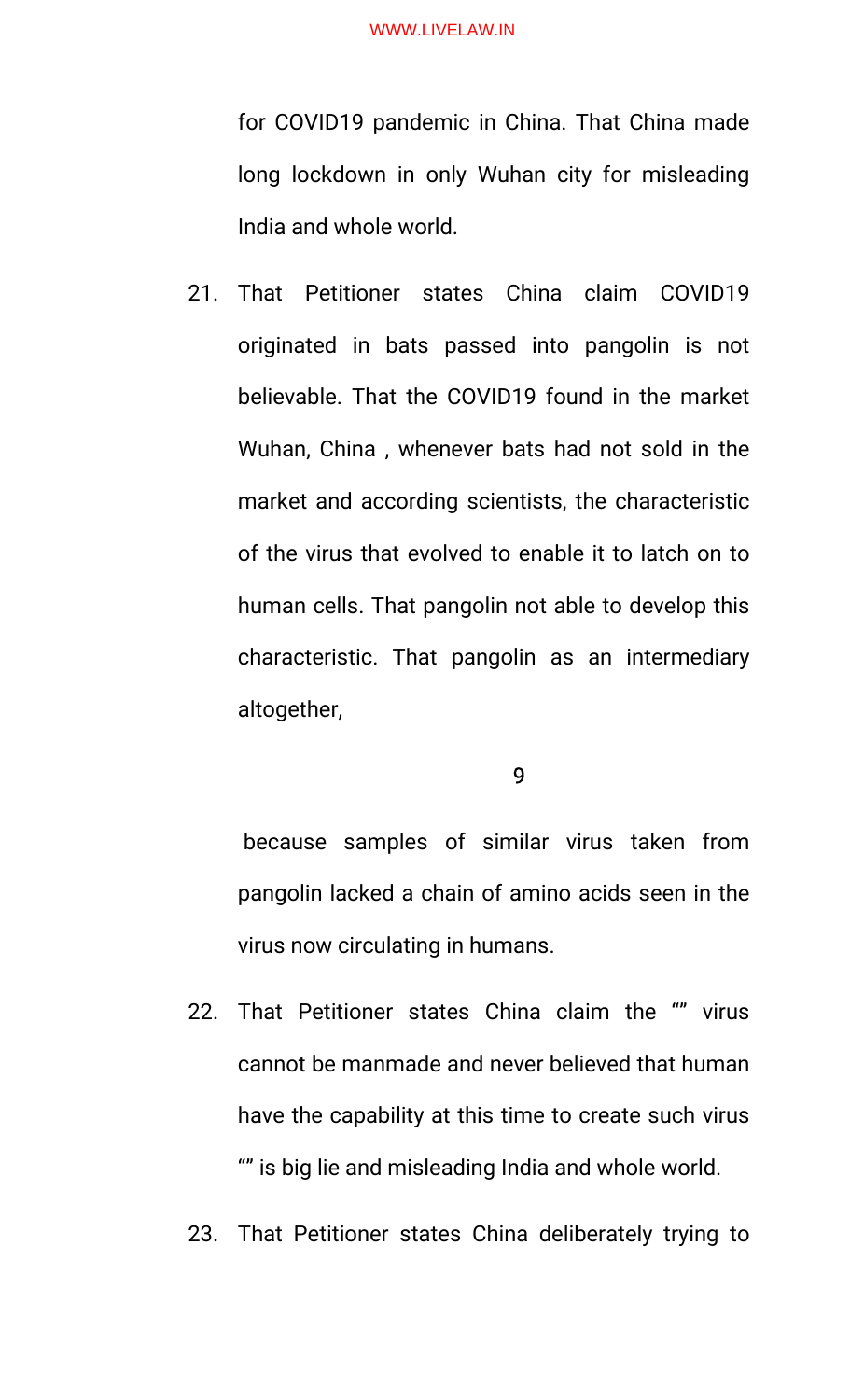for COVID19 pandemic in China. That China made long lockdown in only Wuhan city for misleading India and whole world.

21.That Petitioner states China claim COVID19 originated in bats passed into pangolin is not believable. That the COVID19 found in the market Wuhan, China, whenever bats had not sold in the market and according scientists, the characteristic of the virus that evolved to enable it to latch on to human cells. That pangolin not able to develop this characteristic. That pangolin as an intermediary altogether,

9

because samples of similar virus taken from pangolin lacked a chain of amino acids seen in the virus now circulating in humans.

- 22. That Petitioner states China claim the "" virus cannot be manmade and never believed that human have the capability at this time to create such virus "" is big lie and misleading India and whole world.
- 23. That Petitioner states China deliberately trying to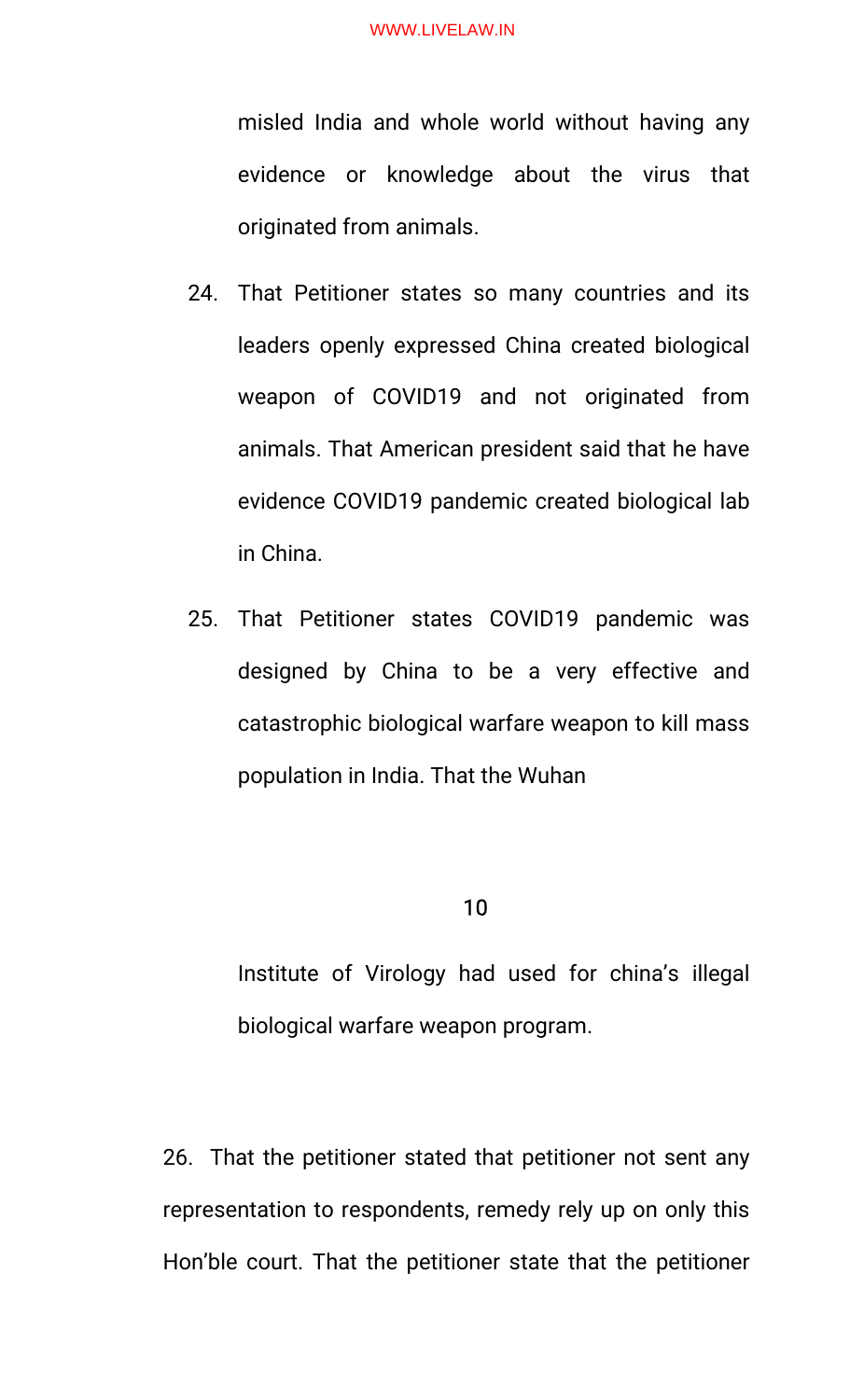misled India and whole world without having any evidence or knowledge about the virus that originated from animals.

- 24. That Petitioner states so many countries and its leaders openly expressed China created biological weapon of COVID19 and not originated from animals. That American president said that he have evidence COVID19 pandemic created biological lab in China.
- 25. That Petitioner states COVID19 pandemic was designed by China to be a very effective and catastrophic biological warfare weapon to kill mass population in India. That the Wuhan

#### 10

Institute of Virology had used for china's illegal biological warfare weapon program.

26. That the petitioner stated that petitioner not sent any representation to respondents, remedy rely up on only this Hon'ble court. That the petitioner state that the petitioner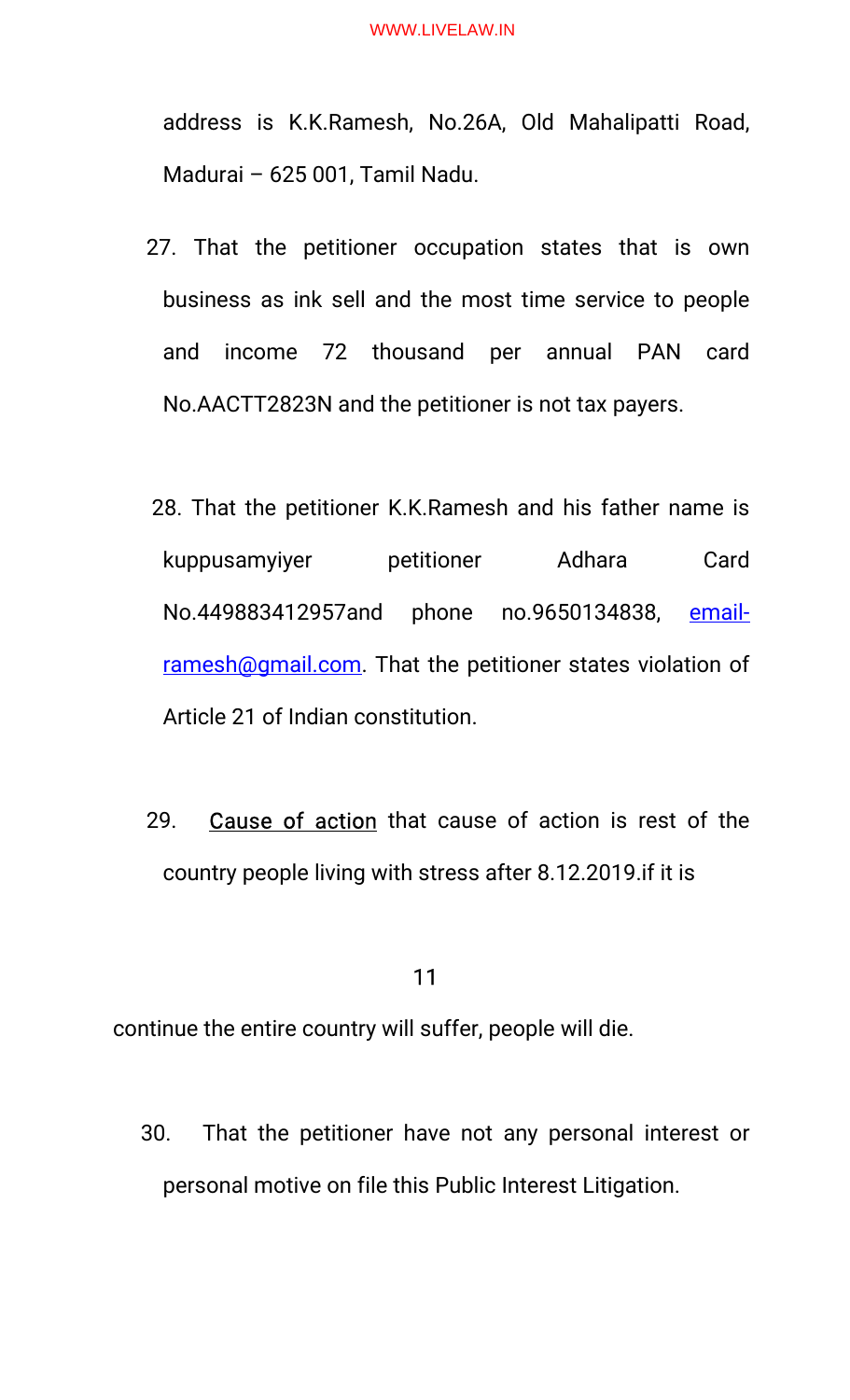address is K.K.Ramesh, No.26A, Old Mahalipatti Road, Madurai - 625 001, Tamil Nadu.

- 27. That the petitioner occupation states that is own business as ink sell and the most time service to people and income 72 thousand per annual PAN card No.AACTT2823N and the petitioner is not tax payers.
- 28. That the petitioner K.K.Ramesh and his father name is kuppusamyiyer petitioner Adhara Card No.449883412957and phone no.9650134838, emailramesh@gmail.com. That the petitioner states violation of Article 21 of Indian constitution.
- 29. Cause of action that cause of action is rest of the country people living with stress after 8.12.2019. if it is

### 11

continue the entire country will suffer, people will die.

30. That the petitioner have not any personal interest or personal motive on file this Public Interest Litigation.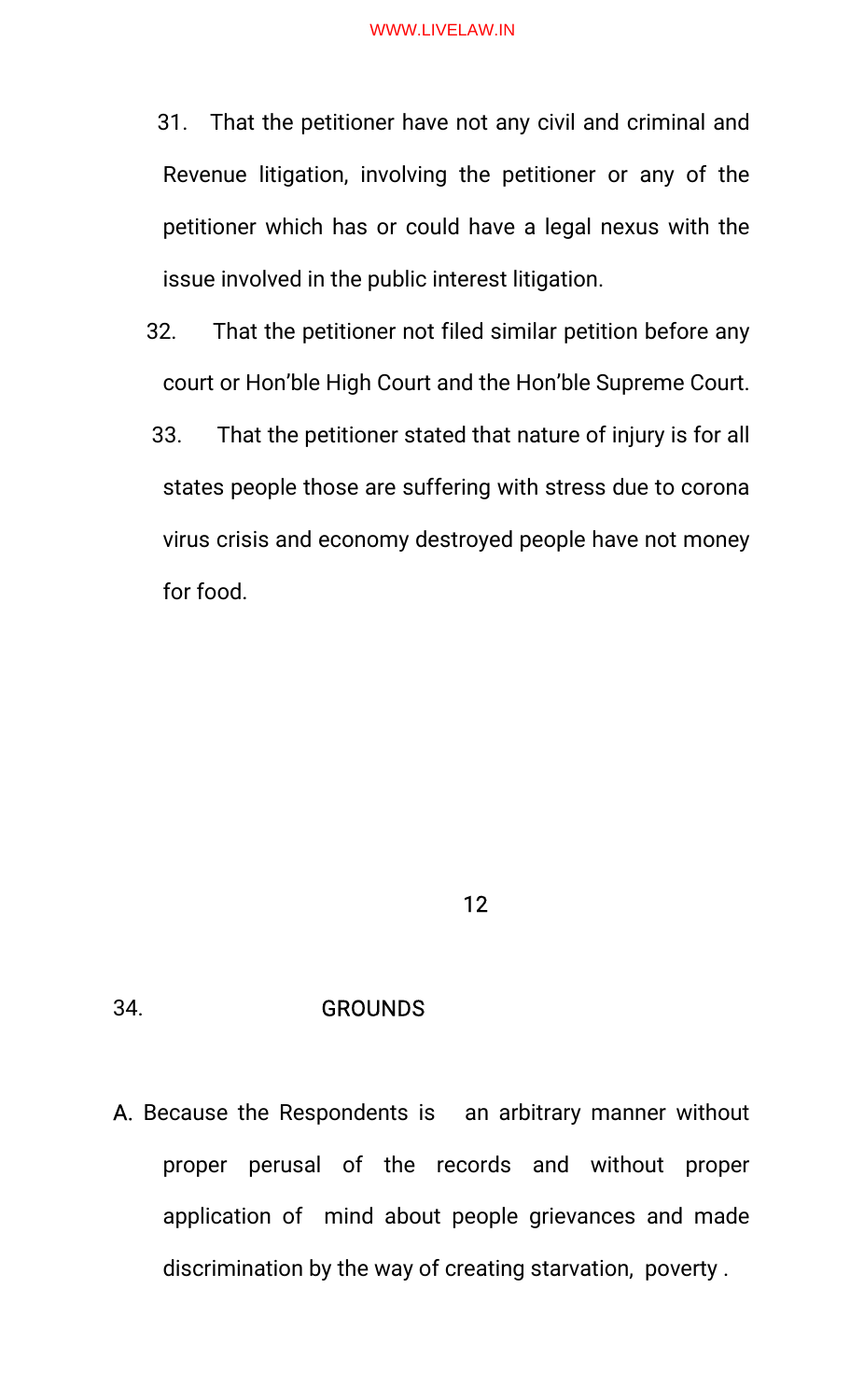- 31. That the petitioner have not any civil and criminal and Revenue litigation, involving the petitioner or any of the petitioner which has or could have a legal nexus with the issue involved in the public interest litigation.
- 32. That the petitioner not filed similar petition before any court or Hon'ble High Court and the Hon'ble Supreme Court.
- 33. That the petitioner stated that nature of injury is for all states people those are suffering with stress due to corona virus crisis and economy destroyed people have not money for food.

12

#### 34. GROUNDS

A. Because the Respondents is an arbitrary manner without proper perusal of the records and without proper application of mind about people grievances and made discrimination by the way of creating starvation, poverty.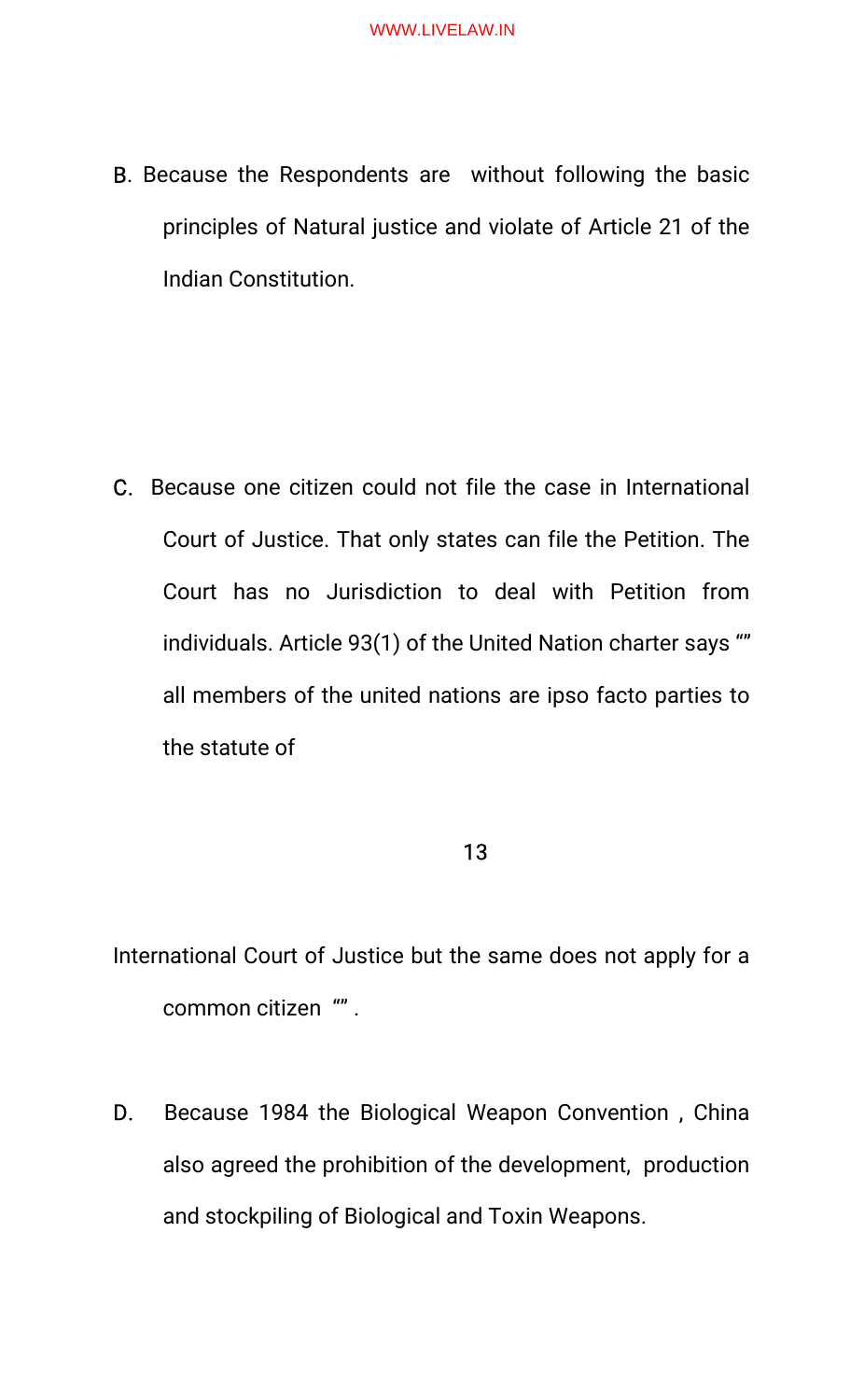B. Because the Respondents are without following the basic principles of Natural justice and violate of Article 21 of the **Indian Constitution.** 

C. Because one citizen could not file the case in International Court of Justice. That only states can file the Petition. The Court has no Jurisdiction to deal with Petition from individuals. Article 93(1) of the United Nation charter says "" all members of the united nations are ipso facto parties to the statute of

#### 13

International Court of Justice but the same does not apply for a common citizen "".

Because 1984 the Biological Weapon Convention, China D. also agreed the prohibition of the development, production and stockpiling of Biological and Toxin Weapons.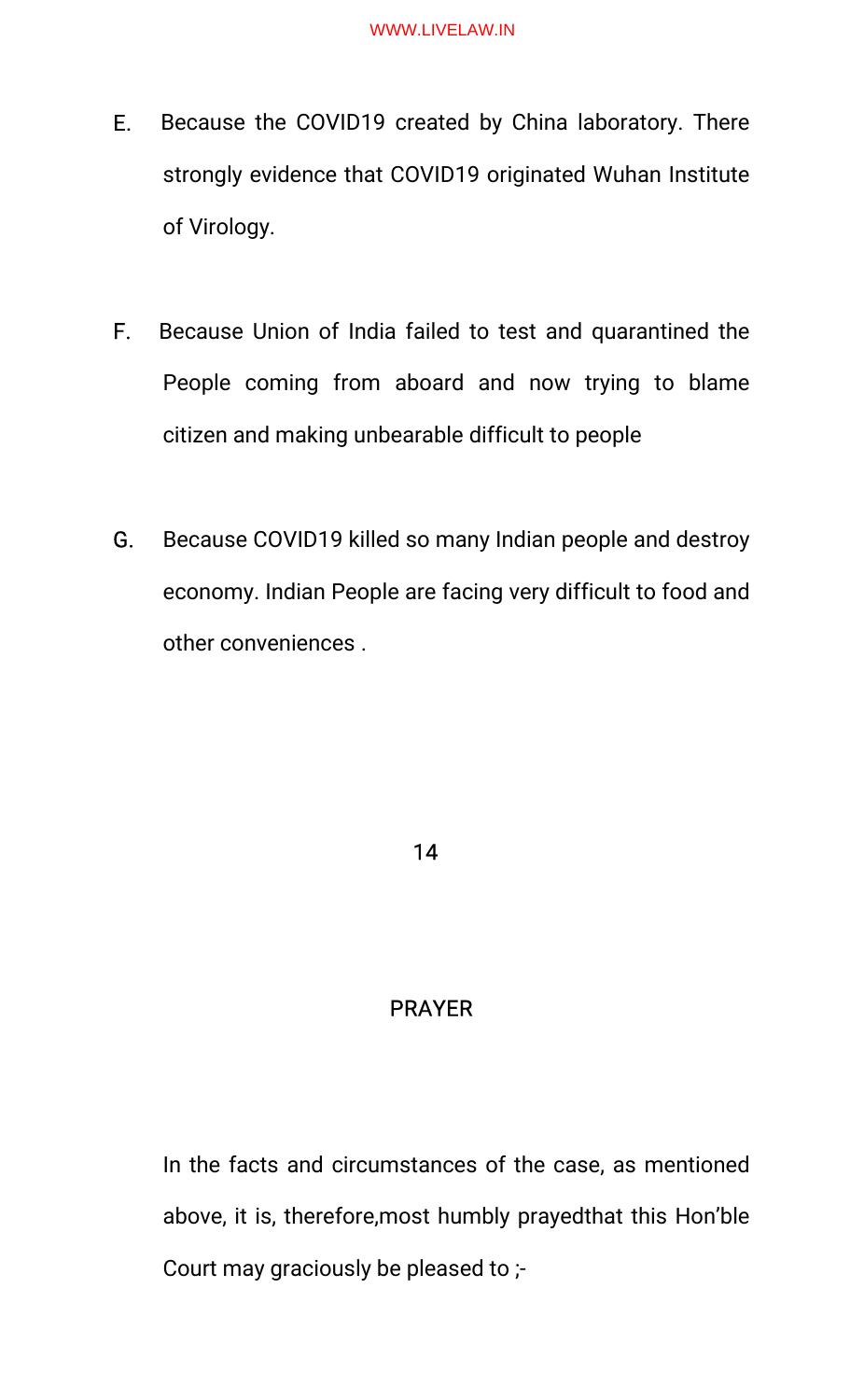- Because the COVID19 created by China laboratory. There E. strongly evidence that COVID19 originated Wuhan Institute of Virology.
- Because Union of India failed to test and quarantined the  $F_{\rm L}$ People coming from aboard and now trying to blame citizen and making unbearable difficult to people
- Because COVID19 killed so many Indian people and destroy G. economy. Indian People are facing very difficult to food and other conveniences.

#### $14$

## **PRAYER**

In the facts and circumstances of the case, as mentioned above, it is, therefore, most humbly prayed that this Hon'ble Court may graciously be pleased to ;-